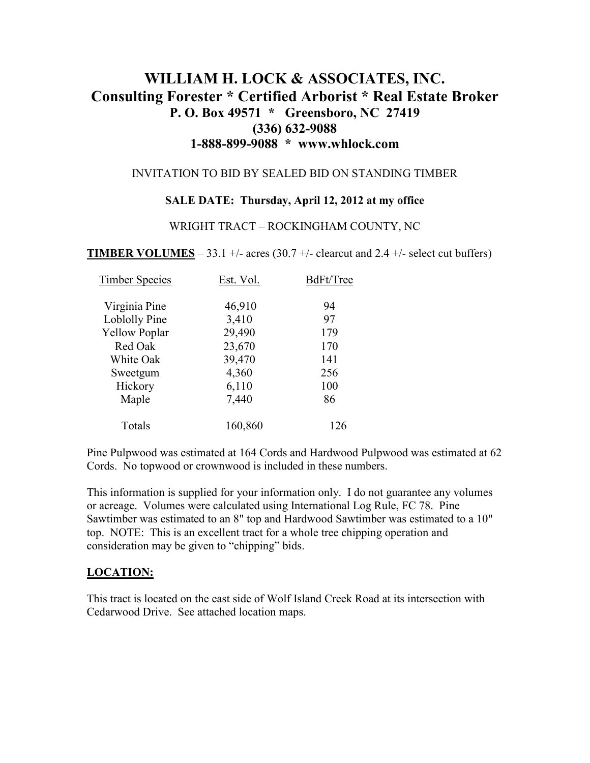# **WILLIAM H. LOCK & ASSOCIATES, INC. Consulting Forester \* Certified Arborist \* Real Estate Broker P. O. Box 49571 \* Greensboro, NC 27419 (336) 632-9088 1-888-899-9088 \* www.whlock.com**

### INVITATION TO BID BY SEALED BID ON STANDING TIMBER

### **SALE DATE: Thursday, April 12, 2012 at my office**

### WRIGHT TRACT – ROCKINGHAM COUNTY, NC

**TIMBER VOLUMES** – 33.1 +/- acres (30.7 +/- clearcut and 2.4 +/- select cut buffers)

| <b>Timber Species</b> | Est. Vol. | BdFt/Tree |
|-----------------------|-----------|-----------|
| Virginia Pine         | 46,910    | 94        |
| Loblolly Pine         | 3,410     | 97        |
| <b>Yellow Poplar</b>  | 29,490    | 179       |
| Red Oak               | 23,670    | 170       |
| White Oak             | 39,470    | 141       |
| Sweetgum              | 4,360     | 256       |
| Hickory               | 6,110     | 100       |
| Maple                 | 7,440     | 86        |
| Totals                | 160,860   | 126       |

Pine Pulpwood was estimated at 164 Cords and Hardwood Pulpwood was estimated at 62 Cords. No topwood or crownwood is included in these numbers.

This information is supplied for your information only. I do not guarantee any volumes or acreage. Volumes were calculated using International Log Rule, FC 78. Pine Sawtimber was estimated to an 8" top and Hardwood Sawtimber was estimated to a 10" top. NOTE: This is an excellent tract for a whole tree chipping operation and consideration may be given to "chipping" bids.

### **LOCATION:**

This tract is located on the east side of Wolf Island Creek Road at its intersection with Cedarwood Drive. See attached location maps.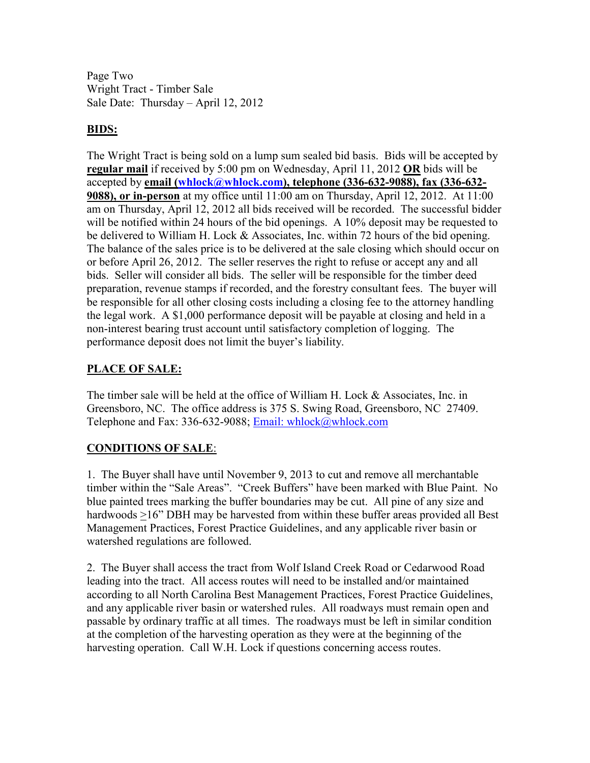Page Two Wright Tract - Timber Sale Sale Date: Thursday – April 12, 2012

# **BIDS:**

The Wright Tract is being sold on a lump sum sealed bid basis. Bids will be accepted by **regular mail** if received by 5:00 pm on Wednesday, April 11, 2012 **OR** bids will be accepted by **email (whlock@whlock.com), telephone (336-632-9088), fax (336-632- 9088), or in-person** at my office until 11:00 am on Thursday, April 12, 2012. At 11:00 am on Thursday, April 12, 2012 all bids received will be recorded. The successful bidder will be notified within 24 hours of the bid openings. A 10% deposit may be requested to be delivered to William H. Lock & Associates, Inc. within 72 hours of the bid opening. The balance of the sales price is to be delivered at the sale closing which should occur on or before April 26, 2012. The seller reserves the right to refuse or accept any and all bids. Seller will consider all bids. The seller will be responsible for the timber deed preparation, revenue stamps if recorded, and the forestry consultant fees. The buyer will be responsible for all other closing costs including a closing fee to the attorney handling the legal work. A \$1,000 performance deposit will be payable at closing and held in a non-interest bearing trust account until satisfactory completion of logging. The performance deposit does not limit the buyer's liability.

# **PLACE OF SALE:**

The timber sale will be held at the office of William H. Lock & Associates, Inc. in Greensboro, NC. The office address is 375 S. Swing Road, Greensboro, NC 27409. Telephone and Fax: 336-632-9088; Email: whlock@whlock.com

## **CONDITIONS OF SALE**:

1. The Buyer shall have until November 9, 2013 to cut and remove all merchantable timber within the "Sale Areas". "Creek Buffers" have been marked with Blue Paint. No blue painted trees marking the buffer boundaries may be cut. All pine of any size and hardwoods >16" DBH may be harvested from within these buffer areas provided all Best Management Practices, Forest Practice Guidelines, and any applicable river basin or watershed regulations are followed.

2. The Buyer shall access the tract from Wolf Island Creek Road or Cedarwood Road leading into the tract. All access routes will need to be installed and/or maintained according to all North Carolina Best Management Practices, Forest Practice Guidelines, and any applicable river basin or watershed rules. All roadways must remain open and passable by ordinary traffic at all times. The roadways must be left in similar condition at the completion of the harvesting operation as they were at the beginning of the harvesting operation. Call W.H. Lock if questions concerning access routes.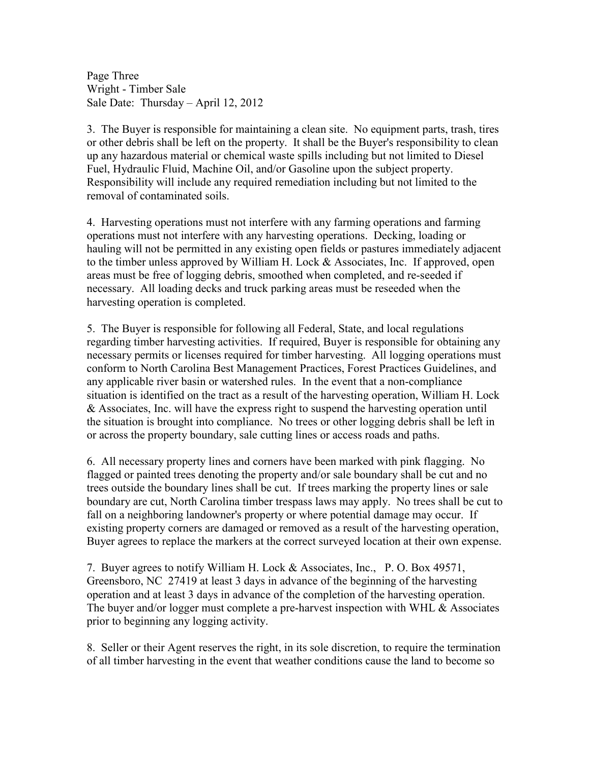Page Three Wright - Timber Sale Sale Date: Thursday – April 12, 2012

3. The Buyer is responsible for maintaining a clean site. No equipment parts, trash, tires or other debris shall be left on the property. It shall be the Buyer's responsibility to clean up any hazardous material or chemical waste spills including but not limited to Diesel Fuel, Hydraulic Fluid, Machine Oil, and/or Gasoline upon the subject property. Responsibility will include any required remediation including but not limited to the removal of contaminated soils.

4. Harvesting operations must not interfere with any farming operations and farming operations must not interfere with any harvesting operations. Decking, loading or hauling will not be permitted in any existing open fields or pastures immediately adjacent to the timber unless approved by William H. Lock & Associates, Inc. If approved, open areas must be free of logging debris, smoothed when completed, and re-seeded if necessary. All loading decks and truck parking areas must be reseeded when the harvesting operation is completed.

5. The Buyer is responsible for following all Federal, State, and local regulations regarding timber harvesting activities. If required, Buyer is responsible for obtaining any necessary permits or licenses required for timber harvesting. All logging operations must conform to North Carolina Best Management Practices, Forest Practices Guidelines, and any applicable river basin or watershed rules. In the event that a non-compliance situation is identified on the tract as a result of the harvesting operation, William H. Lock & Associates, Inc. will have the express right to suspend the harvesting operation until the situation is brought into compliance. No trees or other logging debris shall be left in or across the property boundary, sale cutting lines or access roads and paths.

6. All necessary property lines and corners have been marked with pink flagging. No flagged or painted trees denoting the property and/or sale boundary shall be cut and no trees outside the boundary lines shall be cut. If trees marking the property lines or sale boundary are cut, North Carolina timber trespass laws may apply. No trees shall be cut to fall on a neighboring landowner's property or where potential damage may occur. If existing property corners are damaged or removed as a result of the harvesting operation, Buyer agrees to replace the markers at the correct surveyed location at their own expense.

7. Buyer agrees to notify William H. Lock & Associates, Inc., P. O. Box 49571, Greensboro, NC 27419 at least 3 days in advance of the beginning of the harvesting operation and at least 3 days in advance of the completion of the harvesting operation. The buyer and/or logger must complete a pre-harvest inspection with WHL & Associates prior to beginning any logging activity.

8. Seller or their Agent reserves the right, in its sole discretion, to require the termination of all timber harvesting in the event that weather conditions cause the land to become so